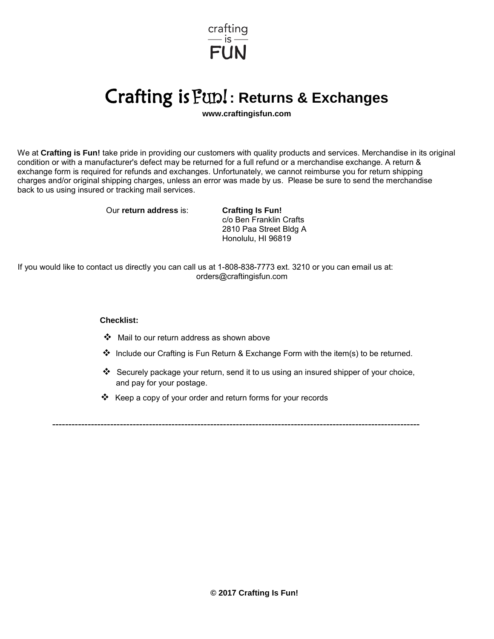

## Crafting is Fun! **: Returns & Exchanges**

**www.craftingisfun.com**

We at **Crafting is Fun!** take pride in providing our customers with quality products and services. Merchandise in its original condition or with a manufacturer's defect may be returned for a full refund or a merchandise exchange. A return & exchange form is required for refunds and exchanges. Unfortunately, we cannot reimburse you for return shipping charges and/or original shipping charges, unless an error was made by us. Please be sure to send the merchandise back to us using insured or tracking mail services.

Our **return address** is: **Crafting Is Fun!**

c/o Ben Franklin Crafts 2810 Paa Street Bldg A Honolulu, HI 96819

If you would like to contact us directly you can call us at 1-808-838-7773 ext. 3210 or you c[an email us at:](mailto:info@craftingisfun.com)  orders@craftingisfun.com

## **Checklist:**

- Mail to our return address as shown above
- $\clubsuit$  Include our Crafting is Fun Return & Exchange Form with the item(s) to be returned.
- Securely package your return, send it to us using an insured shipper of your choice, and pay for your postage.
- $\triangle$  Keep a copy of your order and return forms for your records

------------------------------------------------------------------------------------------------------------------

**© 2017 Crafting Is Fun!**